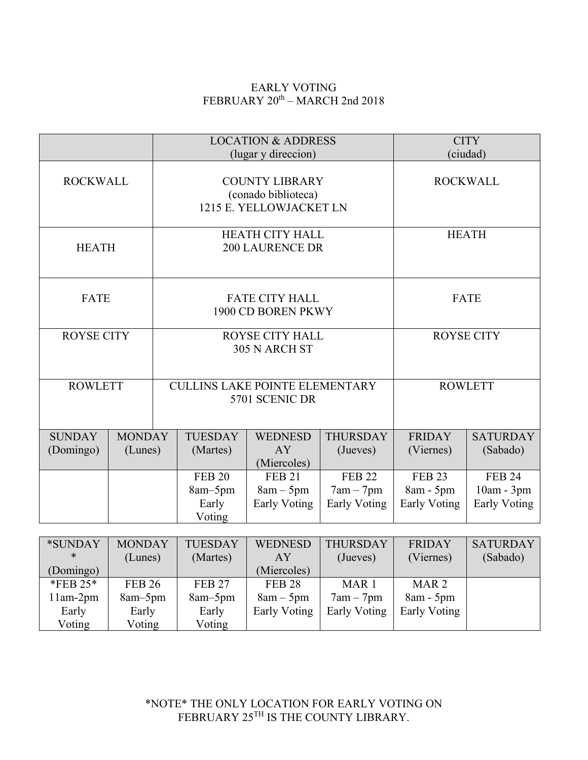## EARLY VOTING FEBRUARY 20th – MARCH 2nd 2018

|                                               |                          |                                                                         | <b>LOCATION &amp; ADDRESS</b><br>(lugar y direccion) |                                                     |                                                     | <b>CITY</b><br>(ciudad)                    |                                                    |
|-----------------------------------------------|--------------------------|-------------------------------------------------------------------------|------------------------------------------------------|-----------------------------------------------------|-----------------------------------------------------|--------------------------------------------|----------------------------------------------------|
| <b>ROCKWALL</b>                               |                          | <b>COUNTY LIBRARY</b><br>(conado biblioteca)<br>1215 E. YELLOWJACKET LN |                                                      |                                                     |                                                     | <b>ROCKWALL</b>                            |                                                    |
| <b>HEATH</b>                                  |                          | <b>HEATH CITY HALL</b><br><b>200 LAURENCE DR</b>                        |                                                      |                                                     |                                                     | <b>HEATH</b>                               |                                                    |
| FATE                                          |                          | <b>FATE CITY HALL</b><br>1900 CD BOREN PKWY                             |                                                      |                                                     |                                                     | FATE                                       |                                                    |
| <b>ROYSE CITY</b>                             |                          | <b>ROYSE CITY HALL</b><br>305 N ARCH ST                                 |                                                      |                                                     |                                                     | <b>ROYSE CITY</b>                          |                                                    |
| <b>ROWLETT</b>                                |                          | <b>CULLINS LAKE POINTE ELEMENTARY</b><br>5701 SCENIC DR                 |                                                      |                                                     |                                                     | <b>ROWLETT</b>                             |                                                    |
| <b>SUNDAY</b><br>(Domingo)                    | <b>MONDAY</b><br>(Lunes) |                                                                         | <b>TUESDAY</b><br>(Martes)                           | <b>WEDNESD</b><br>AY<br>(Miercoles)                 | <b>THURSDAY</b><br>(Jueves)                         | <b>FRIDAY</b><br>(Viernes)                 | <b>SATURDAY</b><br>(Sabado)                        |
|                                               |                          |                                                                         | <b>FEB 20</b><br>8am-5pm<br>Early<br>Voting          | <b>FEB 21</b><br>$8am - 5pm$<br><b>Early Voting</b> | <b>FEB 22</b><br>$7am - 7pm$<br><b>Early Voting</b> | <b>FEB 23</b><br>8am - 5pm<br>Early Voting | <b>FEB 24</b><br>10am - 3pm<br><b>Early Voting</b> |
| *SUNDAY<br><b>MONDAY</b><br>$\ast$<br>(Lunes) |                          | <b>TUESDAY</b><br>(Martes)                                              | <b>WEDNESD</b><br>AY                                 | <b>THURSDAY</b><br>(Jueves)                         | <b>FRIDAY</b><br>(Viernes)                          | <b>SATURDAY</b><br>(Sabado)                |                                                    |

|                | (Lunes)       | (Martes)      | ΑY            | (Jueves)         | vernes)          | (Sabado) |
|----------------|---------------|---------------|---------------|------------------|------------------|----------|
| (Domingo)      |               |               | (Miercoles)   |                  |                  |          |
| $*$ FEB 25 $*$ | <b>FEB 26</b> | <b>FEB 27</b> | <b>FEB 28</b> | MAR <sub>1</sub> | MAR <sub>2</sub> |          |
| l 1am-2pm      | $8am-5pm$     | $8am-5pm$     | $8am - 5pm$   | $7am - 7pm$      | $8am - 5pm$      |          |
| Early          | Early         | Early         | Early Voting  | Early Voting     | Early Voting     |          |
| Voting         | Voting        | Voting        |               |                  |                  |          |